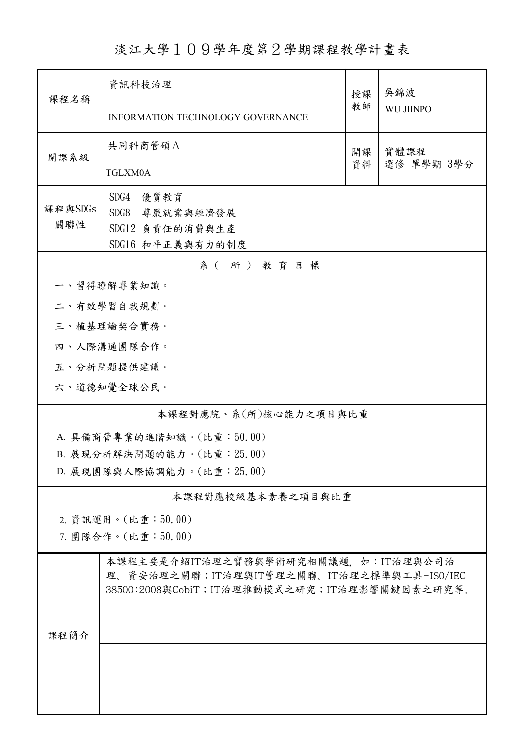淡江大學109學年度第2學期課程教學計畫表

| 課程名稱                         | 資訊科技治理                                                                                                                             | 授課         | 吳錦波<br><b>WU JIINPO</b> |  |  |  |  |
|------------------------------|------------------------------------------------------------------------------------------------------------------------------------|------------|-------------------------|--|--|--|--|
|                              | <b>INFORMATION TECHNOLOGY GOVERNANCE</b>                                                                                           | 教師         |                         |  |  |  |  |
| 開課系級                         | 共同科商管碩A<br>實體課程<br>開課<br>資料                                                                                                        |            |                         |  |  |  |  |
|                              | TGLXM0A                                                                                                                            | 選修 單學期 3學分 |                         |  |  |  |  |
| 課程與SDGs                      | SDG4<br>優質教育                                                                                                                       |            |                         |  |  |  |  |
| 關聯性                          | SDG8 尊嚴就業與經濟發展                                                                                                                     |            |                         |  |  |  |  |
|                              | SDG12 負責任的消費與生產                                                                                                                    |            |                         |  |  |  |  |
| SDG16 和平正義與有力的制度<br>系(所)教育目標 |                                                                                                                                    |            |                         |  |  |  |  |
|                              | 一、習得瞭解專業知識。                                                                                                                        |            |                         |  |  |  |  |
|                              | 二、有效學習自我規劃。                                                                                                                        |            |                         |  |  |  |  |
|                              | 三、植基理論契合實務。                                                                                                                        |            |                         |  |  |  |  |
|                              | 四、人際溝通團隊合作。                                                                                                                        |            |                         |  |  |  |  |
|                              | 五、分析問題提供建議。                                                                                                                        |            |                         |  |  |  |  |
|                              | 六、道德知覺全球公民。                                                                                                                        |            |                         |  |  |  |  |
|                              | 本課程對應院、系(所)核心能力之項目與比重                                                                                                              |            |                         |  |  |  |  |
|                              | A. 具備商管專業的進階知識。(比重:50.00)                                                                                                          |            |                         |  |  |  |  |
| B. 展現分析解決問題的能力。(比重: 25.00)   |                                                                                                                                    |            |                         |  |  |  |  |
| D. 展現團隊與人際協調能力。(比重: 25.00)   |                                                                                                                                    |            |                         |  |  |  |  |
|                              | 本課程對應校級基本素養之項目與比重                                                                                                                  |            |                         |  |  |  |  |
|                              | 2. 資訊運用。(比重:50.00)                                                                                                                 |            |                         |  |  |  |  |
|                              | 7. 團隊合作。(比重:50.00)                                                                                                                 |            |                         |  |  |  |  |
|                              | 本課程主要是介紹IT治理之實務與學術研究相關議題,如:IT治理與公司治<br>理、資安治理之關聯;IT治理與IT管理之關聯、IT治理之標準與工具-ISO/IEC<br>38500:2008與CobiT; IT治理推動模式之研究; IT治理影響關鍵因素之研究等。 |            |                         |  |  |  |  |
| 課程簡介                         |                                                                                                                                    |            |                         |  |  |  |  |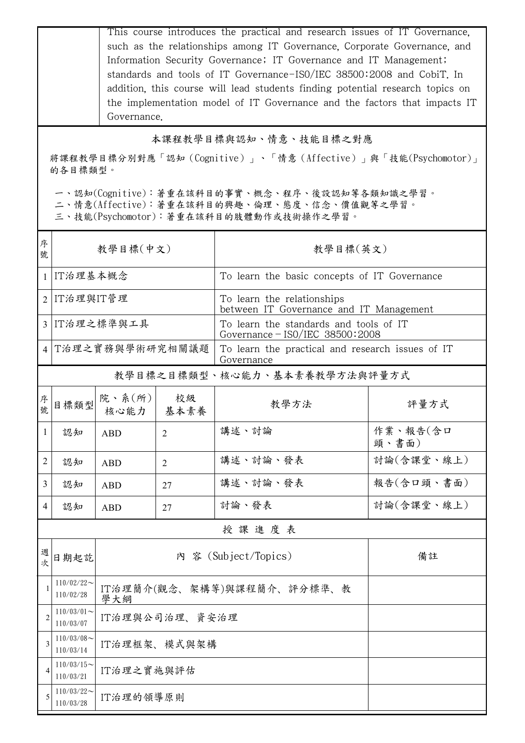This course introduces the practical and research issues of IT Governance, such as the relationships among IT Governance, Corporate Governance, and Information Security Governance; IT Governance and IT Management; standards and tools of IT Governance-IS0/IEC 38500:2008 and CobiT. In addition, this course will lead students finding potential research topics on the implementation model of IT Governance and the factors that impacts IT Governance.

## 本課程教學目標與認知、情意、技能目標之對應

將課程教學目標分別對應「認知(Cognitive)」、「情意(Affective)」與「技能(Psychomotor)」 的各目標類型。

一、認知(Cognitive):著重在該科目的事實、概念、程序、後設認知等各類知識之學習。

二、情意(Affective):著重在該科目的興趣、倫理、態度、信念、價值觀等之學習。

三、技能(Psychomotor):著重在該科目的肢體動作或技術操作之學習。

| 序<br>號         | 教學目標(中文)                   |                                   |                | 教學目標(英文)                                                                    |                   |  |
|----------------|----------------------------|-----------------------------------|----------------|-----------------------------------------------------------------------------|-------------------|--|
| 1              | IT治理基本概念                   |                                   |                | To learn the basic concepts of IT Governance                                |                   |  |
| $\overline{2}$ | IT治理與IT管理                  |                                   |                | To learn the relationships<br>between IT Governance and IT Management       |                   |  |
|                | 3 IT治理之標準與工具               |                                   |                | To learn the standards and tools of IT<br>Governance $-$ ISO/IEC 38500:2008 |                   |  |
|                | 4 T治理之實務與學術研究相關議題          |                                   |                | To learn the practical and research issues of IT<br>Governance              |                   |  |
|                |                            |                                   |                | 教學目標之目標類型、核心能力、基本素養教學方法與評量方式                                                |                   |  |
| 序號             | 目標類型                       | 院、系(所)<br>核心能力                    | 校級<br>基本素養     | 教學方法                                                                        | 評量方式              |  |
| $\mathbf{1}$   | 認知                         | <b>ABD</b>                        | $\overline{2}$ | 講述、討論                                                                       | 作業、報告(含口<br>頭、書面) |  |
| 2              | 認知                         | <b>ABD</b>                        | $\overline{2}$ | 講述、討論、發表                                                                    | 討論(含課堂、線上)        |  |
| 3              | 認知                         | <b>ABD</b>                        | 27             | 講述、討論、發表                                                                    | 報告(含口頭、書面)        |  |
| 4              | 認知                         | <b>ABD</b>                        | 27             | 討論、發表                                                                       | 討論(含課堂、線上)        |  |
|                |                            |                                   |                | 授課進度表                                                                       |                   |  |
| 週次             | 日期起訖                       |                                   |                | 內 容 (Subject/Topics)                                                        | 備註                |  |
|                | $110/02/22$ ~<br>110/02/28 | IT治理簡介(觀念、架構等)與課程簡介、評分標準、教<br>學大綱 |                |                                                                             |                   |  |
|                | $110/03/01$ ~<br>110/03/07 | IT治理與公司治理、資安治理                    |                |                                                                             |                   |  |
| 3              | $110/03/08$ ~<br>110/03/14 | IT治理框架、模式與架構                      |                |                                                                             |                   |  |
| 4              | $110/03/15$ ~<br>110/03/21 | IT治理之實施與評估                        |                |                                                                             |                   |  |
| 5              | $110/03/22$ ~<br>110/03/28 | IT治理的領導原則                         |                |                                                                             |                   |  |